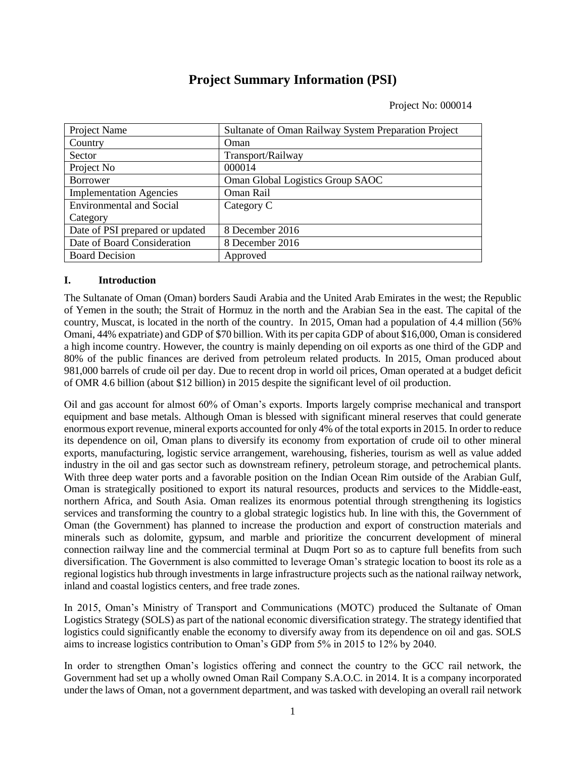# **Project Summary Information (PSI)**

Project No: 000014

| Project Name                    | Sultanate of Oman Railway System Preparation Project |  |  |
|---------------------------------|------------------------------------------------------|--|--|
| Country                         | Oman                                                 |  |  |
| Sector                          | Transport/Railway                                    |  |  |
| Project No                      | 000014                                               |  |  |
| <b>Borrower</b>                 | Oman Global Logistics Group SAOC                     |  |  |
| <b>Implementation Agencies</b>  | Oman Rail                                            |  |  |
| <b>Environmental and Social</b> | Category C                                           |  |  |
| Category                        |                                                      |  |  |
| Date of PSI prepared or updated | 8 December 2016                                      |  |  |
| Date of Board Consideration     | 8 December 2016                                      |  |  |
| <b>Board Decision</b>           | Approved                                             |  |  |

## **I. Introduction**

The Sultanate of Oman (Oman) borders Saudi Arabia and the United Arab Emirates in the west; the Republic of Yemen in the south; the Strait of Hormuz in the north and the Arabian Sea in the east. The capital of the country, Muscat, is located in the north of the country. In 2015, Oman had a population of 4.4 million (56% Omani, 44% expatriate) and GDP of \$70 billion. With its per capita GDP of about \$16,000, Oman is considered a high income country. However, the country is mainly depending on oil exports as one third of the GDP and 80% of the public finances are derived from petroleum related products. In 2015, Oman produced about 981,000 barrels of crude oil per day. Due to recent drop in world oil prices, Oman operated at a budget deficit of OMR 4.6 billion (about \$12 billion) in 2015 despite the significant level of oil production.

Oil and gas account for almost 60% of Oman's exports. Imports largely comprise mechanical and transport equipment and base metals. Although Oman is blessed with significant mineral reserves that could generate enormous export revenue, mineral exports accounted for only 4% of the total exports in 2015. In order to reduce its dependence on oil, Oman plans to diversify its economy from exportation of crude oil to other mineral exports, manufacturing, logistic service arrangement, warehousing, fisheries, tourism as well as value added industry in the oil and gas sector such as downstream refinery, petroleum storage, and petrochemical plants. With three deep water ports and a favorable position on the Indian Ocean Rim outside of the Arabian Gulf, Oman is strategically positioned to export its natural resources, products and services to the Middle-east, northern Africa, and South Asia. Oman realizes its enormous potential through strengthening its logistics services and transforming the country to a global strategic logistics hub. In line with this, the Government of Oman (the Government) has planned to increase the production and export of construction materials and minerals such as dolomite, gypsum, and marble and prioritize the concurrent development of mineral connection railway line and the commercial terminal at Duqm Port so as to capture full benefits from such diversification. The Government is also committed to leverage Oman's strategic location to boost its role as a regional logistics hub through investments in large infrastructure projects such as the national railway network, inland and coastal logistics centers, and free trade zones.

In 2015, Oman's Ministry of Transport and Communications (MOTC) produced the Sultanate of Oman Logistics Strategy (SOLS) as part of the national economic diversification strategy. The strategy identified that logistics could significantly enable the economy to diversify away from its dependence on oil and gas. SOLS aims to increase logistics contribution to Oman's GDP from 5% in 2015 to 12% by 2040.

In order to strengthen Oman's logistics offering and connect the country to the GCC rail network, the Government had set up a wholly owned Oman Rail Company S.A.O.C. in 2014. It is a company incorporated under the laws of Oman, not a government department, and was tasked with developing an overall rail network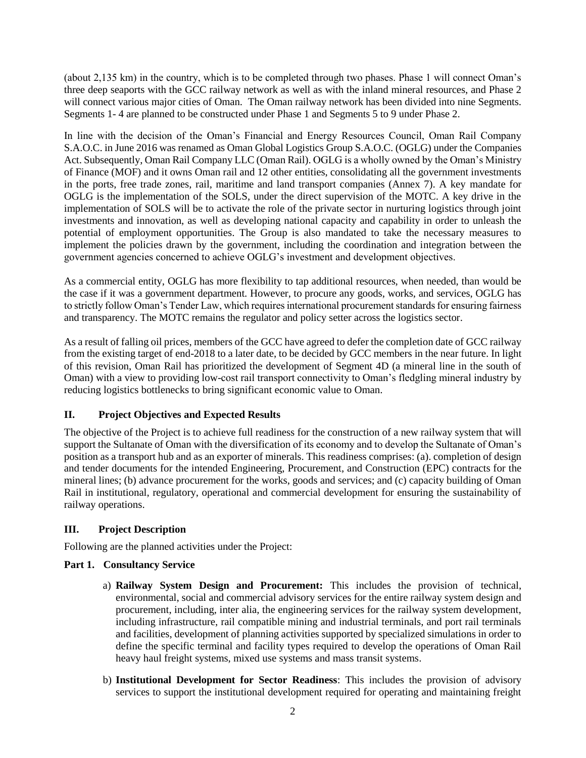(about 2,135 km) in the country, which is to be completed through two phases. Phase 1 will connect Oman's three deep seaports with the GCC railway network as well as with the inland mineral resources, and Phase 2 will connect various major cities of Oman. The Oman railway network has been divided into nine Segments. Segments 1- 4 are planned to be constructed under Phase 1 and Segments 5 to 9 under Phase 2.

In line with the decision of the Oman's Financial and Energy Resources Council, Oman Rail Company S.A.O.C. in June 2016 was renamed as Oman Global Logistics Group S.A.O.C. (OGLG) under the Companies Act. Subsequently, Oman Rail Company LLC (Oman Rail). OGLG is a wholly owned by the Oman's Ministry of Finance (MOF) and it owns Oman rail and 12 other entities, consolidating all the government investments in the ports, free trade zones, rail, maritime and land transport companies (Annex 7). A key mandate for OGLG is the implementation of the SOLS, under the direct supervision of the MOTC. A key drive in the implementation of SOLS will be to activate the role of the private sector in nurturing logistics through joint investments and innovation, as well as developing national capacity and capability in order to unleash the potential of employment opportunities. The Group is also mandated to take the necessary measures to implement the policies drawn by the government, including the coordination and integration between the government agencies concerned to achieve OGLG's investment and development objectives.

As a commercial entity, OGLG has more flexibility to tap additional resources, when needed, than would be the case if it was a government department. However, to procure any goods, works, and services, OGLG has to strictly follow Oman's Tender Law, which requires international procurement standards for ensuring fairness and transparency. The MOTC remains the regulator and policy setter across the logistics sector.

As a result of falling oil prices, members of the GCC have agreed to defer the completion date of GCC railway from the existing target of end-2018 to a later date, to be decided by GCC members in the near future. In light of this revision, Oman Rail has prioritized the development of Segment 4D (a mineral line in the south of Oman) with a view to providing low-cost rail transport connectivity to Oman's fledgling mineral industry by reducing logistics bottlenecks to bring significant economic value to Oman.

## **II. Project Objectives and Expected Results**

The objective of the Project is to achieve full readiness for the construction of a new railway system that will support the Sultanate of Oman with the diversification of its economy and to develop the Sultanate of Oman's position as a transport hub and as an exporter of minerals. This readiness comprises: (a). completion of design and tender documents for the intended Engineering, Procurement, and Construction (EPC) contracts for the mineral lines; (b) advance procurement for the works, goods and services; and (c) capacity building of Oman Rail in institutional, regulatory, operational and commercial development for ensuring the sustainability of railway operations.

#### **III. Project Description**

Following are the planned activities under the Project:

#### **Part 1. Consultancy Service**

- a) **Railway System Design and Procurement:** This includes the provision of technical, environmental, social and commercial advisory services for the entire railway system design and procurement, including, inter alia, the engineering services for the railway system development, including infrastructure, rail compatible mining and industrial terminals, and port rail terminals and facilities, development of planning activities supported by specialized simulations in order to define the specific terminal and facility types required to develop the operations of Oman Rail heavy haul freight systems, mixed use systems and mass transit systems.
- b) **Institutional Development for Sector Readiness**: This includes the provision of advisory services to support the institutional development required for operating and maintaining freight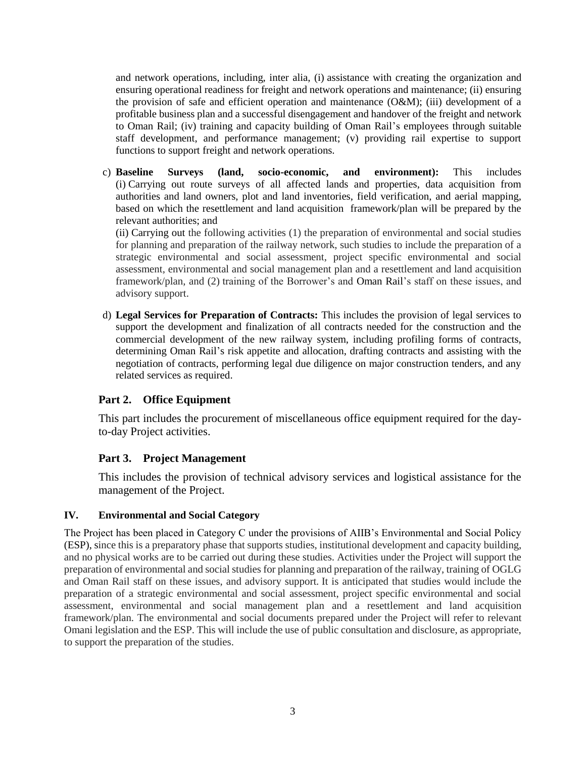and network operations, including, inter alia, (i) assistance with creating the organization and ensuring operational readiness for freight and network operations and maintenance; (ii) ensuring the provision of safe and efficient operation and maintenance (O&M); (iii) development of a profitable business plan and a successful disengagement and handover of the freight and network to Oman Rail; (iv) training and capacity building of Oman Rail's employees through suitable staff development, and performance management; (v) providing rail expertise to support functions to support freight and network operations.

c) **Baseline Surveys (land, socio-economic, and environment):** This includes (i) Carrying out route surveys of all affected lands and properties, data acquisition from authorities and land owners, plot and land inventories, field verification, and aerial mapping, based on which the resettlement and land acquisition framework/plan will be prepared by the relevant authorities; and

(ii) Carrying out the following activities (1) the preparation of environmental and social studies for planning and preparation of the railway network, such studies to include the preparation of a strategic environmental and social assessment, project specific environmental and social assessment, environmental and social management plan and a resettlement and land acquisition framework/plan, and (2) training of the Borrower's and Oman Rail's staff on these issues, and advisory support.

d) **Legal Services for Preparation of Contracts:** This includes the provision of legal services to support the development and finalization of all contracts needed for the construction and the commercial development of the new railway system, including profiling forms of contracts, determining Oman Rail's risk appetite and allocation, drafting contracts and assisting with the negotiation of contracts, performing legal due diligence on major construction tenders, and any related services as required.

## **Part 2. Office Equipment**

This part includes the procurement of miscellaneous office equipment required for the dayto-day Project activities.

## **Part 3. Project Management**

This includes the provision of technical advisory services and logistical assistance for the management of the Project.

## **IV. Environmental and Social Category**

The Project has been placed in Category C under the provisions of AIIB's Environmental and Social Policy (ESP), since this is a preparatory phase that supports studies, institutional development and capacity building, and no physical works are to be carried out during these studies. Activities under the Project will support the preparation of environmental and social studies for planning and preparation of the railway, training of OGLG and Oman Rail staff on these issues, and advisory support. It is anticipated that studies would include the preparation of a strategic environmental and social assessment, project specific environmental and social assessment, environmental and social management plan and a resettlement and land acquisition framework/plan. The environmental and social documents prepared under the Project will refer to relevant Omani legislation and the ESP. This will include the use of public consultation and disclosure, as appropriate, to support the preparation of the studies.